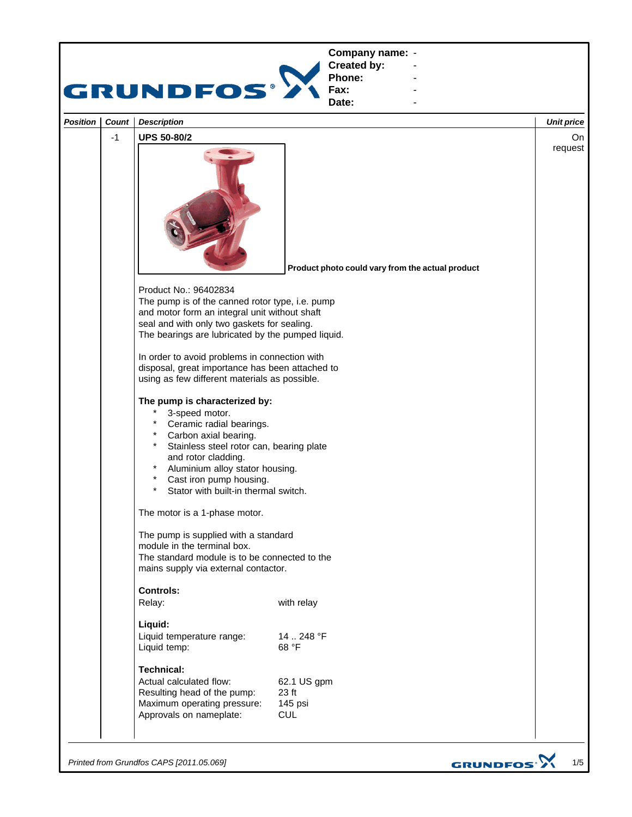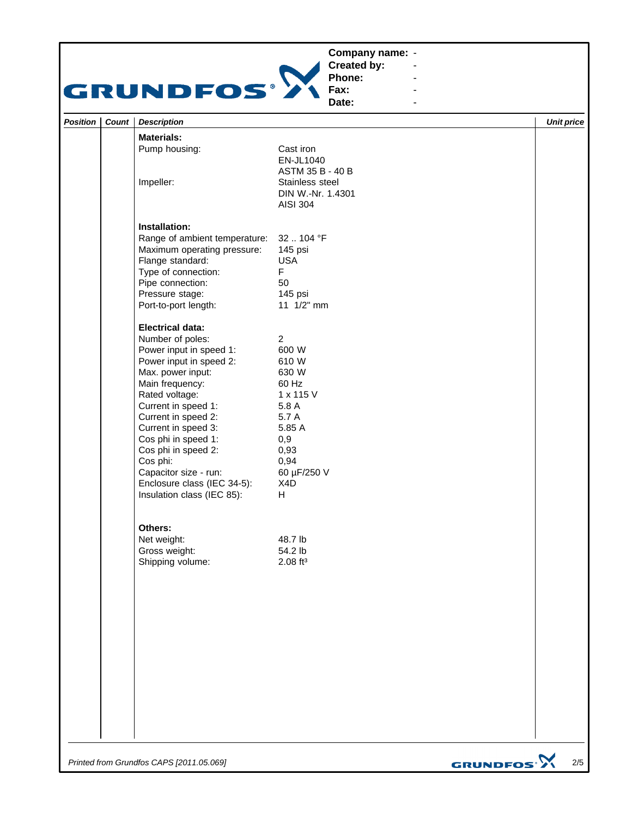## **Company name: -** Construction of the construction



**Created by: Phone: Fax:**

**Date: -** Andrew March 2014 **-** Construction of the construction

**-** Andrew March 2014 **-** Andrew March 2014

| Position | Count | <b>Description</b>                                                                                                                                                                                                                                                                                                                                                               |                                                                                                                                               |                              | <b>Unit price</b> |
|----------|-------|----------------------------------------------------------------------------------------------------------------------------------------------------------------------------------------------------------------------------------------------------------------------------------------------------------------------------------------------------------------------------------|-----------------------------------------------------------------------------------------------------------------------------------------------|------------------------------|-------------------|
|          |       | <b>Materials:</b>                                                                                                                                                                                                                                                                                                                                                                |                                                                                                                                               |                              |                   |
|          |       | Pump housing:<br>Impeller:                                                                                                                                                                                                                                                                                                                                                       | Cast iron<br>EN-JL1040<br>ASTM 35 B - 40 B<br>Stainless steel<br>DIN W.-Nr. 1.4301<br><b>AISI 304</b>                                         |                              |                   |
|          |       | Installation:<br>Range of ambient temperature:<br>Maximum operating pressure:<br>Flange standard:<br>Type of connection:<br>Pipe connection:<br>Pressure stage:<br>Port-to-port length:                                                                                                                                                                                          | 32  104 °F<br>145 psi<br><b>USA</b><br>F<br>50<br>145 psi<br>11 1/2" mm                                                                       |                              |                   |
|          |       | <b>Electrical data:</b><br>Number of poles:<br>Power input in speed 1:<br>Power input in speed 2:<br>Max. power input:<br>Main frequency:<br>Rated voltage:<br>Current in speed 1:<br>Current in speed 2:<br>Current in speed 3:<br>Cos phi in speed 1:<br>Cos phi in speed 2:<br>Cos phi:<br>Capacitor size - run:<br>Enclosure class (IEC 34-5):<br>Insulation class (IEC 85): | $\overline{a}$<br>600 W<br>610 W<br>630 W<br>60 Hz<br>1 x 115 V<br>5.8 A<br>5.7 A<br>5.85 A<br>0,9<br>0,93<br>0,94<br>60 µF/250 V<br>X4D<br>H |                              |                   |
|          |       | Others:<br>Net weight:<br>Gross weight:<br>Shipping volume:                                                                                                                                                                                                                                                                                                                      | 48.7 lb<br>54.2 lb<br>$2.08$ ft <sup>3</sup>                                                                                                  |                              |                   |
|          |       |                                                                                                                                                                                                                                                                                                                                                                                  |                                                                                                                                               |                              |                   |
|          |       | Printed from Grundfos CAPS [2011.05.069]                                                                                                                                                                                                                                                                                                                                         |                                                                                                                                               | <b>GRUNDFOS<sup>.</sup>X</b> | $2/5$             |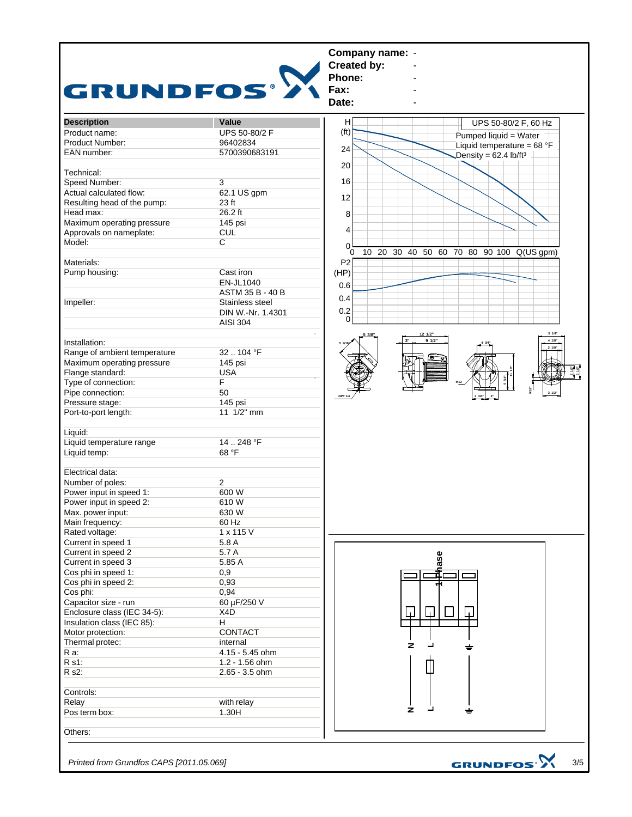

*Printed from Grundfos CAPS [2011.05.069]*

3/5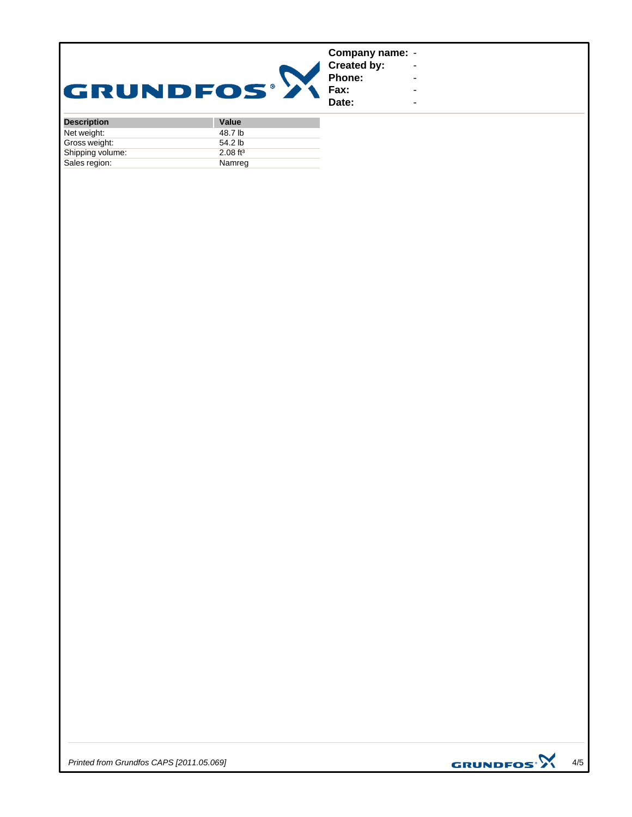|             | Company name: -              |  |
|-------------|------------------------------|--|
|             | <b>Created by:</b><br>Phone: |  |
|             |                              |  |
| GRUNDFOS® 2 | <b>Fax:</b>                  |  |
|             | Date:                        |  |

| <b>Description</b> | <b>Value</b>           |
|--------------------|------------------------|
| Net weight:        | 48.7 lb                |
| Gross weight:      | 54.2 <sub>lb</sub>     |
| Shipping volume:   | $2.08$ ft <sup>3</sup> |
| Sales region:      | Namreg                 |



**-** Construction of the construction **-** Andrew March 2014 **-** Andrew March 2014 **-** Andrew March 2014 **-** Construction of the construction